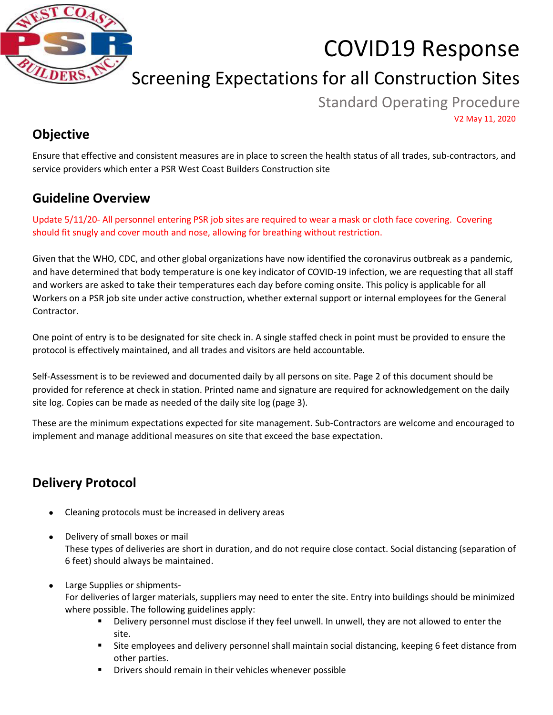

# COVID19 Response

## Screening Expectations for all Construction Sites

Standard Operating Procedure V2 May 11, 2020

#### **Objective**

Ensure that effective and consistent measures are in place to screen the health status of all trades, sub-contractors, and service providers which enter a PSR West Coast Builders Construction site

#### **Guideline Overview**

Update 5/11/20- All personnel entering PSR job sites are required to wear a mask or cloth face covering. Covering should fit snugly and cover mouth and nose, allowing for breathing without restriction.

Given that the WHO, CDC, and other global organizations have now identified the coronavirus outbreak as a pandemic, and have determined that body temperature is one key indicator of COVID-19 infection, we are requesting that all staff and workers are asked to take their temperatures each day before coming onsite. This policy is applicable for all Workers on a PSR job site under active construction, whether external support or internal employees for the General Contractor.

One point of entry is to be designated for site check in. A single staffed check in point must be provided to ensure the protocol is effectively maintained, and all trades and visitors are held accountable.

Self-Assessment is to be reviewed and documented daily by all persons on site. Page 2 of this document should be provided for reference at check in station. Printed name and signature are required for acknowledgement on the daily site log. Copies can be made as needed of the daily site log (page 3).

These are the minimum expectations expected for site management. Sub-Contractors are welcome and encouraged to implement and manage additional measures on site that exceed the base expectation.

### **Delivery Protocol**

- Cleaning protocols must be increased in delivery areas
- Delivery of small boxes or mail These types of deliveries are short in duration, and do not require close contact. Social distancing (separation of 6 feet) should always be maintained.
- Large Supplies or shipments-

For deliveries of larger materials, suppliers may need to enter the site. Entry into buildings should be minimized where possible. The following guidelines apply:

- Delivery personnel must disclose if they feel unwell. In unwell, they are not allowed to enter the site.
- Site employees and delivery personnel shall maintain social distancing, keeping 6 feet distance from other parties.
- Drivers should remain in their vehicles whenever possible